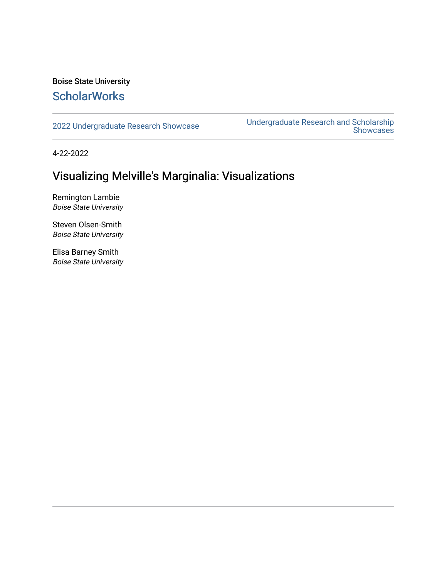#### Boise State University **ScholarWorks**

[2022 Undergraduate Research Showcase](https://scholarworks.boisestate.edu/under_showcase_2022) [Undergraduate Research and Scholarship](https://scholarworks.boisestate.edu/under_conference)  Showcases

4-22-2022

#### Visualizing Melville's Marginalia: Visualizations

Remington Lambie Boise State University

Steven Olsen-Smith Boise State University

Elisa Barney Smith Boise State University